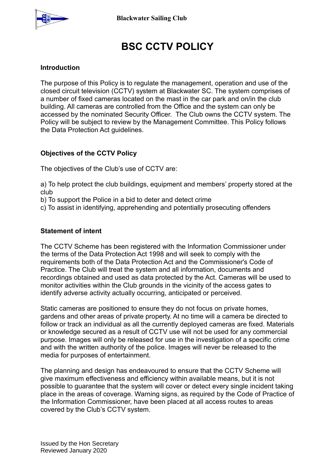

# **BSC CCTV POLICY**

## **Introduction**

The purpose of this Policy is to regulate the management, operation and use of the closed circuit television (CCTV) system at Blackwater SC. The system comprises of a number of fixed cameras located on the mast in the car park and on/in the club building. All cameras are controlled from the Office and the system can only be accessed by the nominated Security Officer. The Club owns the CCTV system. The Policy will be subject to review by the Management Committee. This Policy follows the Data Protection Act guidelines.

## **Objectives of the CCTV Policy**

The objectives of the Club's use of CCTV are:

a) To help protect the club buildings, equipment and members' property stored at the club

b) To support the Police in a bid to deter and detect crime

c) To assist in identifying, apprehending and potentially prosecuting offenders

#### **Statement of intent**

The CCTV Scheme has been registered with the Information Commissioner under the terms of the Data Protection Act 1998 and will seek to comply with the requirements both of the Data Protection Act and the Commissioner's Code of Practice. The Club will treat the system and all information, documents and recordings obtained and used as data protected by the Act. Cameras will be used to monitor activities within the Club grounds in the vicinity of the access gates to identify adverse activity actually occurring, anticipated or perceived.

Static cameras are positioned to ensure they do not focus on private homes, gardens and other areas of private property. At no time will a camera be directed to follow or track an individual as all the currently deployed cameras are fixed. Materials or knowledge secured as a result of CCTV use will not be used for any commercial purpose. Images will only be released for use in the investigation of a specific crime and with the written authority of the police. Images will never be released to the media for purposes of entertainment.

The planning and design has endeavoured to ensure that the CCTV Scheme will give maximum effectiveness and efficiency within available means, but it is not possible to guarantee that the system will cover or detect every single incident taking place in the areas of coverage. Warning signs, as required by the Code of Practice of the Information Commissioner, have been placed at all access routes to areas covered by the Club's CCTV system.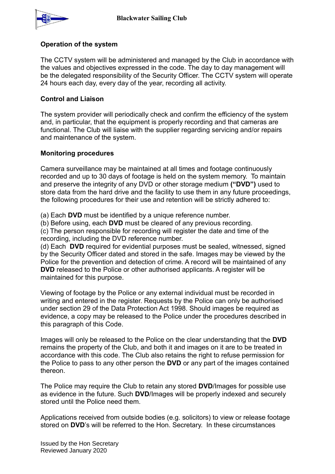

## **Operation of the system**

The CCTV system will be administered and managed by the Club in accordance with the values and objectives expressed in the code. The day to day management will be the delegated responsibility of the Security Officer. The CCTV system will operate 24 hours each day, every day of the year, recording all activity.

## **Control and Liaison**

The system provider will periodically check and confirm the efficiency of the system and, in particular, that the equipment is properly recording and that cameras are functional. The Club will liaise with the supplier regarding servicing and/or repairs and maintenance of the system.

### **Monitoring procedures**

Camera surveillance may be maintained at all times and footage continuously recorded and up to 30 days of footage is held on the system memory. To maintain and preserve the integrity of any DVD or other storage medium **("DVD")** used to store data from the hard drive and the facility to use them in any future proceedings, the following procedures for their use and retention will be strictly adhered to:

(a) Each **DVD** must be identified by a unique reference number.

(b) Before using, each **DVD** must be cleared of any previous recording.

(c) The person responsible for recording will register the date and time of the recording, including the DVD reference number.

(d) Each **DVD** required for evidential purposes must be sealed, witnessed, signed by the Security Officer dated and stored in the safe. Images may be viewed by the Police for the prevention and detection of crime. A record will be maintained of any **DVD** released to the Police or other authorised applicants. A register will be maintained for this purpose.

Viewing of footage by the Police or any external individual must be recorded in writing and entered in the register. Requests by the Police can only be authorised under section 29 of the Data Protection Act 1998. Should images be required as evidence, a copy may be released to the Police under the procedures described in this paragraph of this Code.

Images will only be released to the Police on the clear understanding that the **DVD** remains the property of the Club, and both it and images on it are to be treated in accordance with this code. The Club also retains the right to refuse permission for the Police to pass to any other person the **DVD** or any part of the images contained thereon.

The Police may require the Club to retain any stored **DVD**/Images for possible use as evidence in the future. Such **DVD**/Images will be properly indexed and securely stored until the Police need them.

Applications received from outside bodies (e.g. solicitors) to view or release footage stored on **DVD**'s will be referred to the Hon. Secretary. In these circumstances